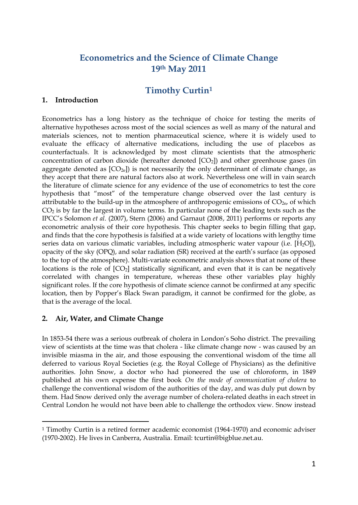# **Econometrics and the Science of Climate Change 19th May 2011**

## **Timothy Curtin<sup>1</sup>**

#### **1. Introduction**

Econometrics has a long history as the technique of choice for testing the merits of alternative hypotheses across most of the social sciences as well as many of the natural and materials sciences, not to mention pharmaceutical science, where it is widely used to evaluate the efficacy of alternative medications, including the use of placebos as counterfactuals. It is acknowledged by most climate scientists that the atmospheric concentration of carbon dioxide (hereafter denoted  $[CO<sub>2</sub>]$ ) and other greenhouse gases (in aggregate denoted as  $[CO<sub>2e</sub>]$  is not necessarily the only determinant of climate change, as they accept that there are natural factors also at work. Nevertheless one will in vain search the literature of climate science for any evidence of the use of econometrics to test the core hypothesis that "most" of the temperature change observed over the last century is attributable to the build-up in the atmosphere of anthropogenic emissions of  $CO<sub>2e</sub>$ , of which CO<sup>2</sup> is by far the largest in volume terms. In particular none of the leading texts such as the IPCC"s Solomon *et al.* (2007), Stern (2006) and Garnaut (2008, 2011) performs or reports any econometric analysis of their core hypothesis. This chapter seeks to begin filling that gap, and finds that the core hypothesis is falsified at a wide variety of locations with lengthy time series data on various climatic variables, including atmospheric water vapour (i.e. [H<sub>2</sub>O]), opacity of the sky (OPQ), and solar radiation (SR) received at the earth"s surface (as opposed to the top of the atmosphere). Multi-variate econometric analysis shows that at none of these locations is the role of  $[CO_2]$  statistically significant, and even that it is can be negatively correlated with changes in temperature, whereas these other variables play highly significant roles. If the core hypothesis of climate science cannot be confirmed at any specific location, then by Popper"s Black Swan paradigm, it cannot be confirmed for the globe, as that is the average of the local.

## **2. Air, Water, and Climate Change**

 $\overline{a}$ 

In 1853-54 there was a serious outbreak of cholera in London"s Soho district. The prevailing view of scientists at the time was that cholera - like climate change now - was caused by an invisible miasma in the air, and those espousing the conventional wisdom of the time all deferred to various Royal Societies (e.g. the Royal College of Physicians) as the definitive authorities. John Snow, a doctor who had pioneered the use of chloroform, in 1849 published at his own expense the first book *On the mode of communication of cholera* to challenge the conventional wisdom of the authorities of the day, and was duly put down by them. Had Snow derived only the average number of cholera-related deaths in each street in Central London he would not have been able to challenge the orthodox view. Snow instead

<sup>1</sup> Timothy Curtin is a retired former academic economist (1964-1970) and economic adviser (1970-2002). He lives in Canberra, Australia. Email: tcurtin@bigblue.net.au.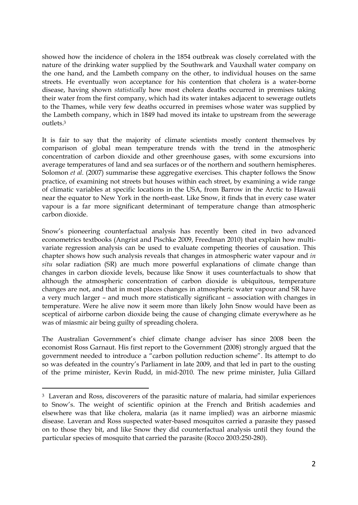showed how the incidence of cholera in the 1854 outbreak was closely correlated with the nature of the drinking water supplied by the Southwark and Vauxhall water company on the one hand, and the Lambeth company on the other, to individual houses on the same streets. He eventually won acceptance for his contention that cholera is a water-borne disease, having shown *statistically* how most cholera deaths occurred in premises taking their water from the first company, which had its water intakes adjacent to sewerage outlets to the Thames, while very few deaths occurred in premises whose water was supplied by the Lambeth company, which in 1849 had moved its intake to upstream from the sewerage outlets.<sup>3</sup>

It is fair to say that the majority of climate scientists mostly content themselves by comparison of global mean temperature trends with the trend in the atmospheric concentration of carbon dioxide and other greenhouse gases, with some excursions into average temperatures of land and sea surfaces or of the northern and southern hemispheres. Solomon *et al.* (2007) summarise these aggregative exercises. This chapter follows the Snow practice, of examining not streets but houses within each street, by examining a wide range of climatic variables at specific locations in the USA, from Barrow in the Arctic to Hawaii near the equator to New York in the north-east. Like Snow, it finds that in every case water vapour is a far more significant determinant of temperature change than atmospheric carbon dioxide.

Snow"s pioneering counterfactual analysis has recently been cited in two advanced econometrics textbooks (Angrist and Pischke 2009, Freedman 2010) that explain how multivariate regression analysis can be used to evaluate competing theories of causation. This chapter shows how such analysis reveals that changes in atmospheric water vapour and *in situ* solar radiation (SR) are much more powerful explanations of climate change than changes in carbon dioxide levels, because like Snow it uses counterfactuals to show that although the atmospheric concentration of carbon dioxide is ubiquitous, temperature changes are not, and that in most places changes in atmospheric water vapour and SR have a very much larger – and much more statistically significant – association with changes in temperature. Were he alive now it seem more than likely John Snow would have been as sceptical of airborne carbon dioxide being the cause of changing climate everywhere as he was of miasmic air being guilty of spreading cholera.

The Australian Government's chief climate change adviser has since 2008 been the economist Ross Garnaut. His first report to the Government (2008) strongly argued that the government needed to introduce a "carbon pollution reduction scheme". Its attempt to do so was defeated in the country"s Parliament in late 2009, and that led in part to the ousting of the prime minister, Kevin Rudd, in mid-2010. The new prime minister, Julia Gillard

 $\overline{a}$ 

<sup>3</sup> Laveran and Ross, discoverers of the parasitic nature of malaria, had similar experiences to Snow"s. The weight of scientific opinion at the French and British academies and elsewhere was that like cholera, malaria (as it name implied) was an airborne miasmic disease. Laveran and Ross suspected water-based mosquitos carried a parasite they passed on to those they bit, and like Snow they did counterfactual analysis until they found the particular species of mosquito that carried the parasite (Rocco 2003:250-280).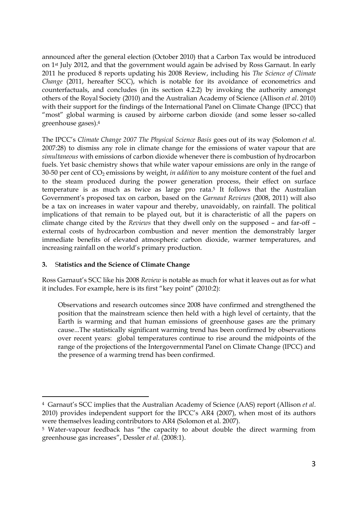announced after the general election (October 2010) that a Carbon Tax would be introduced on 1st July 2012, and that the government would again be advised by Ross Garnaut. In early 2011 he produced 8 reports updating his 2008 Review, including his *The Science of Climate Change* (2011, hereafter SCC), which is notable for its avoidance of econometrics and counterfactuals, and concludes (in its section 4.2.2) by invoking the authority amongst others of the Royal Society (2010) and the Australian Academy of Science (Allison *et al*. 2010) with their support for the findings of the International Panel on Climate Change (IPCC) that "most" global warming is caused by airborne carbon dioxide (and some lesser so-called greenhouse gases). 4

The IPCC"s *Climate Change 2007 The Physical Science Basis* goes out of its way (Solomon *et al.* 2007:28) to dismiss any role in climate change for the emissions of water vapour that are *simultaneous* with emissions of carbon dioxide whenever there is combustion of hydrocarbon fuels. Yet basic chemistry shows that while water vapour emissions are only in the range of 30-50 per cent of CO<sup>2</sup> emissions by weight, *in addition* to any moisture content of the fuel and to the steam produced during the power generation process, their effect on surface temperature is as much as twice as large pro rata. <sup>5</sup> It follows that the Australian Government"s proposed tax on carbon, based on the *Garnaut Reviews* (2008, 2011) will also be a tax on increases in water vapour and thereby, unavoidably, on rainfall. The political implications of that remain to be played out, but it is characteristic of all the papers on climate change cited by the *Reviews* that they dwell only on the supposed – and far-off – external costs of hydrocarbon combustion and never mention the demonstrably larger immediate benefits of elevated atmospheric carbon dioxide, warmer temperatures, and increasing rainfall on the world's primary production.

## **3.** S**tatistics and the Science of Climate Change**

 $\overline{a}$ 

Ross Garnaut"s SCC like his 2008 *Review* is notable as much for what it leaves out as for what it includes. For example, here is its first "key point" (2010:2):

Observations and research outcomes since 2008 have confirmed and strengthened the position that the mainstream science then held with a high level of certainty, that the Earth is warming and that human emissions of greenhouse gases are the primary cause...The statistically significant warming trend has been confirmed by observations over recent years: global temperatures continue to rise around the midpoints of the range of the projections of the Intergovernmental Panel on Climate Change (IPCC) and the presence of a warming trend has been confirmed.

<sup>4</sup> Garnaut"s SCC implies that the Australian Academy of Science (AAS) report (Allison *et al*. 2010) provides independent support for the IPCC"s AR4 (2007), when most of its authors were themselves leading contributors to AR4 (Solomon et al. 2007).

<sup>5</sup> Water-vapour feedback has "the capacity to about double the direct warming from greenhouse gas increases", Dessler *et al.* (2008:1).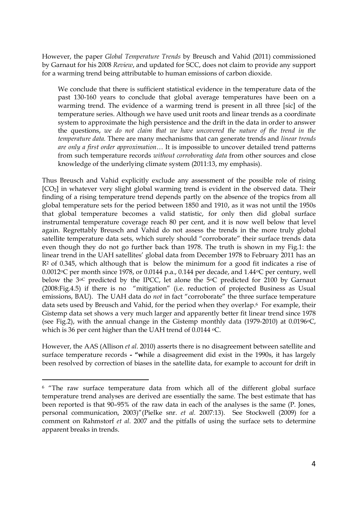However, the paper *Global Temperature Trends* by Breusch and Vahid (2011) commissioned by Garnaut for his 2008 *Review*, and updated for SCC, does not claim to provide any support for a warming trend being attributable to human emissions of carbon dioxide.

We conclude that there is sufficient statistical evidence in the temperature data of the past 130-160 years to conclude that global average temperatures have been on a warming trend. The evidence of a warming trend is present in all three [sic] of the temperature series. Although we have used unit roots and linear trends as a coordinate system to approximate the high persistence and the drift in the data in order to answer the questions, *we do not claim that we have uncovered the nature of the trend in the temperature data.* There are many mechanisms that can generate trends and *linear trends are only a first order approximation*… It is impossible to uncover detailed trend patterns from such temperature records *without corroborating data* from other sources and close knowledge of the underlying climate system (2011:13, my emphasis).

Thus Breusch and Vahid explicitly exclude any assessment of the possible role of rising [CO2] in whatever very slight global warming trend is evident in the observed data. Their finding of a rising temperature trend depends partly on the absence of the tropics from all global temperature sets for the period between 1850 and 1910, as it was not until the 1950s that global temperature becomes a valid statistic, for only then did global surface instrumental temperature coverage reach 80 per cent, and it is now well below that level again. Regrettably Breusch and Vahid do not assess the trends in the more truly global satellite temperature data sets, which surely should "corroborate" their surface trends data even though they do not go further back than 1978. The truth is shown in my Fig.1: the linear trend in the UAH satellites" global data from December 1978 to February 2011 has an  $R<sup>2</sup>$  of 0.345, which although that is below the minimum for a good fit indicates a rise of 0.0012 $\degree$ C per month since 1978, or 0.0144 p.a., 0.144 per decade, and 1.44 $\degree$ C per century, well below the  $3^{\circ}$ C predicted by the IPCC, let alone the  $5^{\circ}$ C predicted for 2100 by Garnaut (2008:Fig.4.5) if there is no "mitigation" (i.e. reduction of projected Business as Usual emissions, BAU). The UAH data do *not* in fact "corroborate" the three surface temperature data sets used by Breusch and Vahid, for the period when they overlap. <sup>6</sup> For example, their Gistemp data set shows a very much larger and apparently better fit linear trend since 1978 (see Fig.2), with the annual change in the Gistemp monthly data (1979-2010) at  $0.0196$ °C, which is 36 per cent higher than the UAH trend of 0.0144 °C.

However, the AAS (Allison *et al.* 2010) asserts there is no disagreement between satellite and surface temperature records **- "w**hile a disagreement did exist in the 1990s, it has largely been resolved by correction of biases in the satellite data, for example to account for drift in

l

<sup>6</sup> "The raw surface temperature data from which all of the different global surface temperature trend analyses are derived are essentially the same. The best estimate that has been reported is that 90–95% of the raw data in each of the analyses is the same (P. Jones, personal communication, 2003)"(Pielke snr. *et al.* 2007:13). See Stockwell (2009) for a comment on Rahmstorf *et al.* 2007 and the pitfalls of using the surface sets to determine apparent breaks in trends.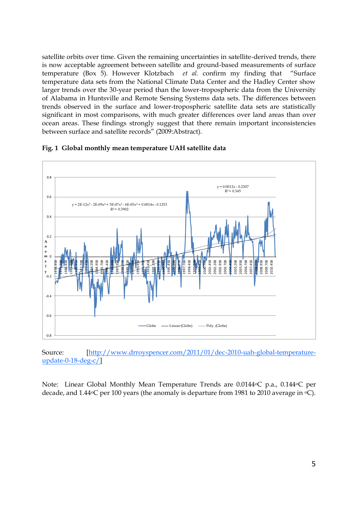satellite orbits over time. Given the remaining uncertainties in satellite-derived trends, there is now acceptable agreement between satellite and ground-based measurements of surface temperature (Box 5). However Klotzbach *et al.* confirm my finding that "Surface temperature data sets from the National Climate Data Center and the Hadley Center show larger trends over the 30-year period than the lower-tropospheric data from the University of Alabama in Huntsville and Remote Sensing Systems data sets. The differences between trends observed in the surface and lower-tropospheric satellite data sets are statistically significant in most comparisons, with much greater differences over land areas than over ocean areas. These findings strongly suggest that there remain important inconsistencies between surface and satellite records" (2009:Abstract).



#### **Fig. 1 Global monthly mean temperature UAH satellite data**

Source: [\[http://www.drroyspencer.com/2011/01/dec-2010-uah-global-temperature](http://www.drroyspencer.com/2011/01/dec-2010-uah-global-temperature-update-0-18-deg-c/)[update-0-18-deg-c/\]](http://www.drroyspencer.com/2011/01/dec-2010-uah-global-temperature-update-0-18-deg-c/)

Note: Linear Global Monthly Mean Temperature Trends are 0.0144<sup>o</sup>C p.a., 0.144<sup>o</sup>C per decade, and  $1.44\textdegree$ C per 100 years (the anomaly is departure from 1981 to 2010 average in  $\textdegree$ C).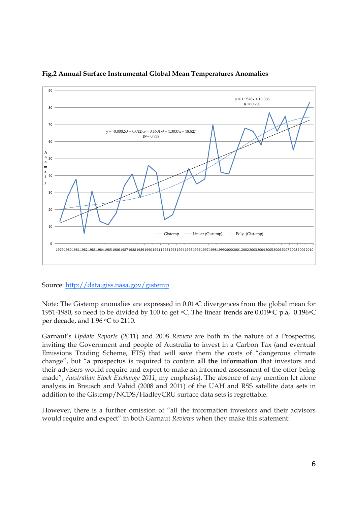

## **Fig.2 Annual Surface Instrumental Global Mean Temperatures Anomalies**

Source[: http://data.giss.nasa.gov/gistemp](http://data.giss.nasa.gov/gistemp)

Note: The Gistemp anomalies are expressed in  $0.01 \,^{\circ}\text{C}$  divergences from the global mean for 1951-1980, so need to be divided by 100 to get  $\degree$ C. The linear trends are 0.019 $\degree$ C p.a, 0.196 $\degree$ C per decade, and 1.96 °C to 2110.

Garnaut"s *Update Reports* (2011) and 2008 *Review* are both in the nature of a Prospectus, inviting the Government and people of Australia to invest in a Carbon Tax (and eventual Emissions Trading Scheme, ETS) that will save them the costs of "dangerous climate change", but "a prospectus is required to contain **all the information** that investors and their advisers would require and expect to make an informed assessment of the offer being made", *Australian Stock Exchange 2011*, my emphasis). The absence of any mention let alone analysis in Breusch and Vahid (2008 and 2011) of the UAH and RSS satellite data sets in addition to the Gistemp/NCDS/HadleyCRU surface data sets is regrettable.

However, there is a further omission of "all the information investors and their advisors would require and expect" in both Garnaut *Reviews* when they make this statement: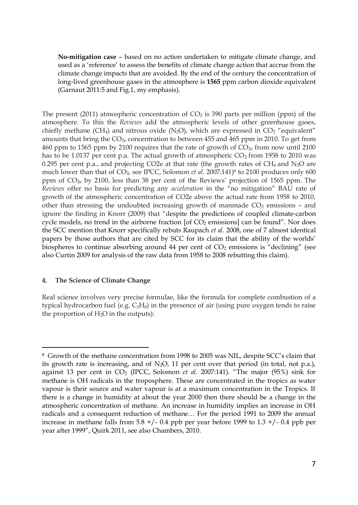**No-mitigation case** – based on no action undertaken to mitigate climate change, and used as a "reference" to assess the benefits of climate change action that accrue from the climate change impacts that are avoided. By the end of the century the concentration of long-lived greenhouse gases in the atmosphere is **1565** ppm carbon dioxide equivalent (Garnaut 2011:5 and Fig.1, my emphasis).

The present (2011) atmospheric concentration of  $CO<sub>2</sub>$  is 390 parts per million (ppm) of the atmosphere. To this the *Reviews* add the atmospheric levels of other greenhouse gases, chiefly methane (CH<sub>4</sub>) and nitrous oxide (N<sub>2</sub>O), which are expressed in CO<sub>2</sub> "equivalent" amounts that bring the  $CO<sub>2e</sub>$  concentration to between 455 and 465 ppm in 2010. To get from 460 ppm to 1565 ppm by 2100 requires that the rate of growth of  $CO_{2e}$  from now until 2100 has to be 1.0137 per cent p.a. The actual growth of atmospheric  $CO<sub>2</sub>$  from 1958 to 2010 was 0.295 per cent p.a., and projecting CO2e at that rate (the growth rates of CH<sub>4</sub> and N<sub>2</sub>O are much lower than that of CO2, see IPCC, Solomon *et al*. 2007:141) <sup>8</sup> to 2100 produces only 600 ppm of  $CO<sub>2e</sub>$  by 2100, less than 38 per cent of the Reviews' projection of 1565 ppm. The *Reviews* offer no basis for predicting any *acceleration* in the "no mitigation" BAU rate of growth of the atmospheric concentration of CO2e above the actual rate from 1958 to 2010, other than stressing the undoubted increasing growth of manmade  $CO<sub>2</sub>$  emissions – and ignore the finding in Knorr (2009) that "despite the predictions of coupled climate-carbon cycle models, no trend in the airborne fraction  $[of CO<sub>2</sub>$  emissions $]$  can be found". Nor does the SCC mention that Knorr specifically rebuts Raupach *et al.* 2008, one of 7 almost identical papers by those authors that are cited by SCC for its claim that the ability of the worlds" biospheres to continue absorbing around 44 per cent of  $CO<sub>2</sub>$  emissions is "declining" (see also Curtin 2009 for analysis of the raw data from 1958 to 2008 rebutting this claim).

#### **4. The Science of Climate Change**

 $\overline{a}$ 

Real science involves very precise formulae, like the formula for complete combustion of a typical hydrocarbon fuel (e.g. C3H8) in the presence of air (using pure oxygen tends to raise the proportion of  $H_2O$  in the outputs):

<sup>8</sup> Growth of the methane concentration from 1998 to 2005 was NIL, despite SCC"s claim that its growth rate is increasing, and of  $N_2O$ , 11 per cent over that period (in total, not p.a.), against 13 per cent in  $CO<sub>2</sub>$  (IPCC, Solomon *et al.* 2007:141). "The major (95%) sink for methane is OH radicals in the troposphere. These are concentrated in the tropics as water vapour is their source and water vapour is at a maximum concentration in the Tropics. If there is a change in humidity at about the year 2000 then there should be a change in the atmospheric concentration of methane. An increase in humidity implies an increase in OH radicals and a consequent reduction of methane… For the period 1991 to 2009 the annual increase in methane falls from  $5.8 +/-0.4$  ppb per year before 1999 to  $1.3 +/-0.4$  ppb per year after 1999", Quirk 2011, see also Chambers, 2010.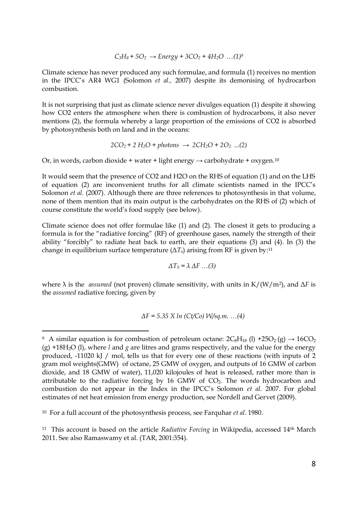$$
C_3H_8 + 5O_2 \rightarrow Energy + 3CO_2 + 4H_2O \dots (1)^9
$$

Climate science has never produced any such formulae, and formula (1) receives no mention in the IPCC"s AR4 WG1 (Solomon *et al.,* 2007) despite its demonising of hydrocarbon combustion.

It is not surprising that just as climate science never divulges equation (1) despite it showing how CO2 enters the atmosphere when there is combustion of hydrocarbons, it also never mentions (2), the formula whereby a large proportion of the emissions of CO2 is absorbed by photosynthesis both on land and in the oceans:

$$
2CO_2 + 2 H_2O + photons \rightarrow 2CH_2O + 2O_2
$$
 ...(2)

Or, in words, carbon dioxide + water + light energy  $\rightarrow$  carbohydrate + oxygen.<sup>10</sup>

It would seem that the presence of CO2 and H2O on the RHS of equation (1) and on the LHS of equation (2) are inconvenient truths for all climate scientists named in the IPCC"s Solomon *et al.* (2007). Although there are three references to photosynthesis in that volume, none of them mention that its main output is the carbohydrates on the RHS of (2) which of course constitute the world"s food supply (see below).

Climate science does not offer formulae like (1) and (2). The closest it gets to producing a formula is for the "radiative forcing" (RF) of greenhouse gases, namely the strength of their ability "forcibly" to radiate heat back to earth, are their equations (3) and (4). In (3) the change in equilibrium surface temperature ( $\Delta T_{\rm s}$ ) arising from RF is given by:11

$$
\Delta T_S = \lambda \Delta F \dots (3)
$$

where  $\lambda$  is the *assumed* (not proven) climate sensitivity, with units in K/(W/m<sup>2</sup>), and  $\Delta F$  is the *assumed* radiative forcing, given by

$$
\Delta F = 5.35 \times ln (Ct/Co) W/sq.m. ... (4)
$$

 $\overline{a}$ 

<sup>9</sup> A similar equation is for combustion of petroleum octane:  $2C_8H_{18}$  (1) +25O<sub>2</sub> (g)  $\rightarrow$  16CO<sub>2</sub> (g) +18H2O (l), where *l* and *g* are litres and grams respectively, and the value for the energy produced, -11020 kJ / mol, tells us that for every one of these reactions (with inputs of 2 gram mol weights(GMW) of octane, 25 GMW of oxygen, and outputs of 16 GMW of carbon dioxide, and 18 GMW of water), 11,020 kilojoules of heat is released, rather more than is attributable to the radiative forcing by  $16$  GMW of CO<sub>2</sub>. The words hydrocarbon and combustion do not appear in the Index in the IPCC"s Solomon *et al.* 2007. For global estimates of net heat emission from energy production, see Nordell and Gervet (2009).

<sup>10</sup> For a full account of the photosynthesis process, see Farquhar *et al.* 1980.

<sup>11</sup> This account is based on the article *Radiative Forcing* in Wikipedia, accessed 14th March 2011. See also Ramaswamy et al. (TAR, 2001:354).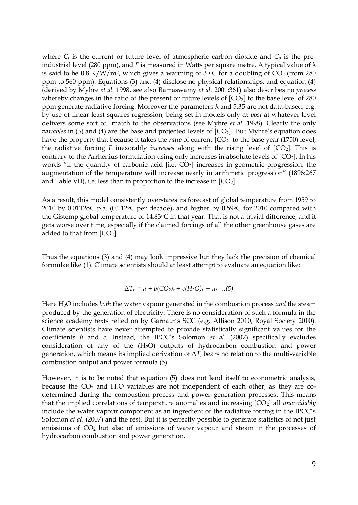where  $C_t$  is the current or future level of atmospheric carbon dioxide and  $C_o$  is the preindustrial level (280 ppm), and *F* is measured in Watts per square metre. A typical value of  $\lambda$ is said to be  $0.8 \text{ K/W/m}^2$ , which gives a warming of  $3 \text{ }^{\circ}\text{C}$  for a doubling of CO<sub>2</sub> (from 280) ppm to 560 ppm). Equations (3) and (4) disclose no physical relationships, and equation (4) (derived by Myhre *et al.* 1998, see also Ramaswamy *et al.* 2001:361) also describes no *process* whereby changes in the ratio of the present or future levels of  $[CO<sub>2</sub>]$  to the base level of 280 ppm generate radiative forcing. Moreover the parameters  $\lambda$  and 5.35 are not data-based, e.g. by use of linear least squares regression, being set in models only *ex post* at whatever level delivers some sort of match to the observations (see Myhre *et al.* 1998). Clearly the only *variables* in (3) and (4) are the base and projected levels of  $[CO<sub>2</sub>]$ . But Myhre's equation does have the property that because it takes the *ratio* of current  $[CO<sub>2</sub>]$  to the base year (1750) level, the radiative forcing  $F$  inexorably *increases* along with the rising level of  $[CO_2]$ . This is contrary to the Arrhenius formulation using only increases in absolute levels of  $[CO<sub>2</sub>]$ . In his words "if the quantity of carbonic acid  $[i.e. CO<sub>2</sub>]$  increases in geometric progression, the augmentation of the temperature will increase nearly in arithmetic progression" (1896:267 and Table VII), i.e. less than in proportion to the increase in  $[CO<sub>2</sub>]$ .

As a result, this model consistently overstates its forecast of global temperature from 1959 to 2010 by 0.0112oC p.a. (0.112 $\degree$ C per decade), and higher by 0.59 $\degree$ C for 2010 compared with the Gistemp global temperature of 14.83oC in that year. That is not a trivial difference, and it gets worse over time, especially if the claimed forcings of all the other greenhouse gases are added to that from  $[CO<sub>2</sub>]$ .

Thus the equations (3) and (4) may look impressive but they lack the precision of chemical formulae like (1). Climate scientists should at least attempt to evaluate an equation like:

$$
\Delta T_t = a + b (CO_2)_t + c (H_2O)_t + u_t ... (5)
$$

Here H2O includes *both* the water vapour generated in the combustion process *and* the steam produced by the generation of electricity. There is no consideration of such a formula in the science academy texts relied on by Garnaut's SCC (e.g. Allison 2010, Royal Society 2010). Climate scientists have never attempted to provide statistically significant values for the coefficients *b* and *c.* Instead, the IPCC"s Solomon *et al.* (2007) specifically excludes consideration of any of the (H2O) outputs of hydrocarbon combustion and power generation, which means its implied derivation of  $\Delta T_t$  bears no relation to the multi-variable combustion output and power formula (5).

However, it is to be noted that equation (5) does not lend itself to econometric analysis, because the  $CO<sub>2</sub>$  and  $H<sub>2</sub>O$  variables are not independent of each other, as they are codetermined during the combustion process and power generation processes. This means that the implied correlations of temperature anomalies and increasing [CO2] all *unavoidably*  include the water vapour component as an ingredient of the radiative forcing in the IPCC"s Solomon *et al.* (2007) and the rest. But it is perfectly possible to generate statistics of not just emissions of  $CO<sub>2</sub>$  but also of emissions of water vapour and steam in the processes of hydrocarbon combustion and power generation.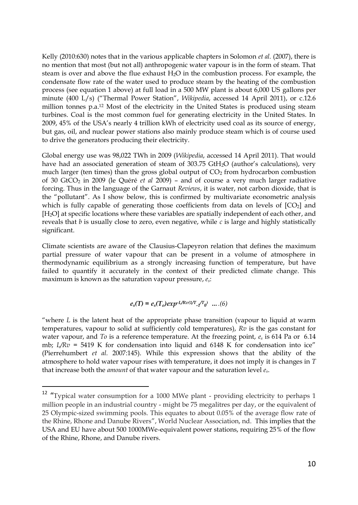Kelly (2010:630) notes that in the various applicable chapters in Solomon *et al.* (2007), there is no mention that most (but not all) anthropogenic water vapour is in the form of steam. That steam is over and above the flue exhaust H2O in the combustion process. For example, the condensate flow rate of the water used to produce steam by the heating of the combustion process (see equation 1 above) at full load in a 500 MW plant is about 6,000 US gallons per minute (400 L/s) ("Thermal Power Station", *Wikipedia*, accessed 14 April 2011), or c.12.6 million tonnes p.a.<sup>12</sup> Most of the electricity in the United States is produced using steam turbines. Coal is the most common fuel for generating electricity in the United States. In 2009, 45% of the USA"s nearly 4 trillion kWh of electricity used coal as its source of energy, but gas, oil, and nuclear power stations also mainly produce steam which is of course used to drive the generators producing their electricity.

Global energy use was 98,022 TWh in 2009 (*Wikipedia*, accessed 14 April 2011). That would have had an associated generation of steam of 303.75 GtH<sub>2</sub>O (author's calculations), very much larger (ten times) than the gross global output of  $CO<sub>2</sub>$  from hydrocarbon combustion of 30 GtCO<sup>2</sup> in 2009 (le Quéré *et al* 2009) – and of course a very much larger radiative forcing. Thus in the language of the Garnaut *Reviews*, it is water, not carbon dioxide, that is the "pollutant". As I show below, this is confirmed by multivariate econometric analysis which is fully capable of generating those coefficients from data on levels of  $[CO<sub>2</sub>]$  and [H<sub>2</sub>O] at specific locations where these variables are spatially independent of each other, and reveals that *b* is usually close to zero, even negative, while *c* is large and highly statistically significant.

Climate scientists are aware of the Clausius-Clapeyron relation that defines the maximum partial pressure of water vapour that can be present in a volume of atmosphere in thermodynamic equilibrium as a strongly increasing function of temperature, but have failed to quantify it accurately in the context of their predicted climate change. This maximum is known as the saturation vapour pressure, *es*:

$$
e_s(T) = e_s(T_o) exp^{-L/Rv(1/T} \cdot t^{T_0}) \dots (6)
$$

"where *L* is the latent heat of the appropriate phase transition (vapour to liquid at warm temperatures, vapour to solid at sufficiently cold temperatures), *Rv* is the gas constant for water vapour, and *To* is a reference temperature. At the freezing point, *e<sup>s</sup>* is 614 Pa or 6*.*14 mb; *L/Rv* = 5419 K for condensation into liquid and 6148 K for condensation into ice" (Pierrehumbert *et al.* 2007:145). While this expression shows that the ability of the atmosphere to hold water vapour rises with temperature, it does not imply it is changes in *T* that increase both the *amount* of that water vapour and the saturation level *es*.

l

<sup>&</sup>lt;sup>12</sup> "Typical water consumption for a 1000 MWe plant - providing electricity to perhaps 1 million people in an industrial country - might be 75 megalitres per day, or the equivalent of 25 Olympic-sized swimming pools. This equates to about 0.05% of the average flow rate of the Rhine, Rhone and Danube Rivers", World Nuclear Association, nd. This implies that the USA and EU have about 500 1000MWe-equivalent power stations, requiring 25% of the flow of the Rhine, Rhone, and Danube rivers.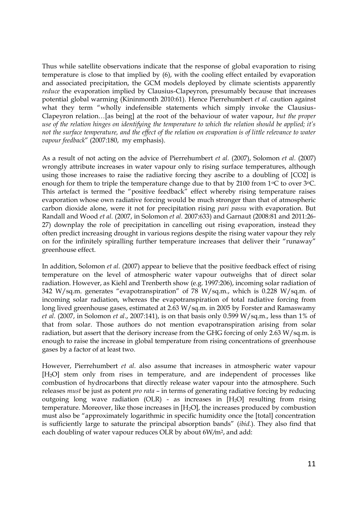Thus while satellite observations indicate that the response of global evaporation to rising temperature is close to that implied by (6), with the cooling effect entailed by evaporation and associated precipitation, the GCM models deployed by climate scientists apparently *reduce* the evaporation implied by Clausius-Clapeyron, presumably because that increases potential global warming (Kininmonth 2010:61). Hence Pierrehumbert *et al.* caution against what they term "wholly indefensible statements which simply invoke the Clausius-Clapeyron relation…[as being] at the root of the behaviour of water vapour, *but the proper use of the relation hinges on identifying the temperature to which the relation should be applied; it's not the surface temperature, and the effect of the relation on evaporation is of little relevance to water vapour feedback*" (2007:180, my emphasis).

As a result of not acting on the advice of Pierrehumbert *et al.* (2007), Solomon *et al.* (2007) wrongly attribute increases in water vapour only to rising surface temperatures, although using those increases to raise the radiative forcing they ascribe to a doubling of [CO2] is enough for them to triple the temperature change due to that by 2100 from  $1^{\circ}C$  to over  $3^{\circ}C$ . This artefact is termed the "positive feedback" effect whereby rising temperature raises evaporation whose own radiative forcing would be much stronger than that of atmospheric carbon dioxide alone, were it not for precipitation rising *pari passu* with evaporation. But Randall and Wood *et al.* (2007, in Solomon *et al.* 2007:633) and Garnaut (2008:81 and 2011:26- 27) downplay the role of precipitation in cancelling out rising evaporation, instead they often predict increasing drought in various regions despite the rising water vapour they rely on for the infinitely spiralling further temperature increases that deliver their "runaway" greenhouse effect.

In addition, Solomon *et al.* (2007) appear to believe that the positive feedback effect of rising temperature on the level of atmospheric water vapour outweighs that of direct solar radiation. However, as Kiehl and Trenberth show (e.g. 1997:206), incoming solar radiation of 342 W/sq.m. generates "evapotranspiration" of 78 W/sq.m., which is 0.228 W/sq.m. of incoming solar radiation, whereas the evapotranspiration of total radiative forcing from long lived greenhouse gases, estimated at 2.63 W/sq.m. in 2005 by Forster and Ramaswamy *et al.* (2007, in Solomon *et al*., 2007:141), is on that basis only 0.599 W/sq.m., less than 1% of that from solar. Those authors do not mention evapotranspiration arising from solar radiation, but assert that the derisory increase from the GHG forcing of only 2.63 W/sq.m. is enough to raise the increase in global temperature from rising concentrations of greenhouse gases by a factor of at least two.

However, Pierrehumbert *et al.* also assume that increases in atmospheric water vapour [H2O] stem only from rises in temperature, and are independent of processes like combustion of hydrocarbons that directly release water vapour into the atmosphere. Such releases *must* be just as potent *pro rata* – in terms of generating radiative forcing by reducing outgoing long wave radiation (OLR) - as increases in  $[H<sub>2</sub>O]$  resulting from rising temperature. Moreover, like those increases in [H2O], the increases produced by combustion must also be "approximately logarithmic in specific humidity once the [total] concentration is sufficiently large to saturate the principal absorption bands" (*ibid.*). They also find that each doubling of water vapour reduces OLR by about 6W*/*m2, and add: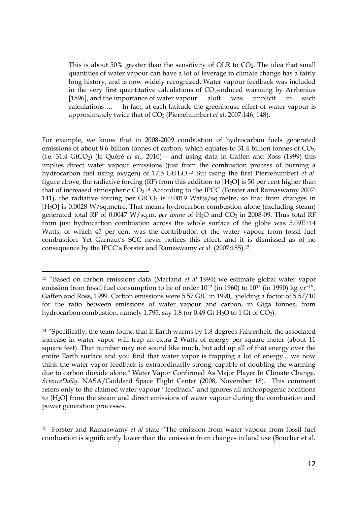This is about 50% greater than the sensitivity of OLR to  $CO<sub>2</sub>$ . The idea that small quantities of water vapour can have a lot of leverage in climate change has a fairly long history, and is now widely recognized. Water vapour feedback was included in the very first quantitative calculations of  $CO<sub>2</sub>$ -induced warming by Arrhenius [1896], and the importance of water vapour aloft was implicit in such calculations…. In fact, at each latitude the greenhouse effect of water vapour is approximately twice that of CO<sup>2</sup> (Pierrehumbert *et al.* 2007:146, 148).

For example, we know that in 2008-2009 combustion of hydrocarbon fuels generated emissions of about 8.6 billion tonnes of carbon, which equates to 31.4 billion tonnes of CO<sub>2</sub>, (i.e. 31.4 GtCO2) (le Quéré *et al*., 2010) – and using data in Gaffen and Ross (1999) this implies direct water vapour emissions (just from the combustion process of burning a hydrocarbon fuel using oxygen) of 17.5 GtH2O. <sup>13</sup> But using the first Pierrehumbert *et al*. figure above, the radiative forcing (RF) from this addition to  $[H<sub>2</sub>O]$  is 50 per cent higher than that of increased atmospheric  $CO<sub>2</sub>$ .<sup>14</sup> According to the IPCC (Forster and Ramaswamy 2007: 141), the radiative forcing per  $GtCO<sub>2</sub>$  is 0.0019 Watts/sq.metre, so that from changes in [H<sub>2</sub>O] is 0.0028 W/sq.metre. That means hydrocarbon combustion alone (excluding steam) generated total RF of 0.0047 W/sq.m. *per tonne* of H2O and CO<sup>2</sup> in 2008-09. Thus total RF from just hydrocarbon combustion across the whole surface of the globe was 5.09E+14 Watts, of which 45 per cent was the contribution of the water vapour from fossil fuel combustion. Yet Garnaut"s SCC never notices this effect, and it is dismissed as of no consequence by the IPCC"s Forster and Ramaswamy *et al.* (2007:185). 15

 $\overline{a}$ <sup>13</sup> "Based on carbon emissions data (Marland *et al* 1994) we estimate global water vapor emission from fossil fuel consumption to be of order 10<sup>12</sup> (in 1960) to 10<sup>13</sup> (in 1990) kg yr−1", Gaffen and Ross, 1999. Carbon emissions were 5.57 GtC in 1990, yielding a factor of 5.57/10 for the ratio between emissions of water vapour and carbon, in Giga tonnes, from hydrocarbon combustion, namely 1.795, say 1.8 (or 0.49 Gt H<sub>2</sub>O to 1 Gt of CO<sub>2</sub>).

<sup>&</sup>lt;sup>14</sup> "Specifically, the team found that if Earth warms by 1.8 degrees Fahrenheit, the associated increase in water vapor will trap an extra 2 Watts of energy per square meter (about 11 square feet). That number may not sound like much, but add up all of that energy over the entire Earth surface and you find that water vapor is trapping a lot of energy... we now think the water vapor feedback is extraordinarily strong, capable of doubling the warming due to carbon dioxide alone." Water Vapor Confirmed As Major Player In Climate Change. *ScienceDaily*. NASA/Goddard Space Flight Center (2008, November 18). This comment refers only to the claimed water vapour "feedback" and ignores all anthropogenic additions to [H2O] from the steam and direct emissions of water vapour during the combustion and power generation processes.

<sup>15</sup> Forster and Ramaswamy *et al* state "The emission from water vapour from fossil fuel combustion is significantly lower than the emission from changes in land use (Boucher et al.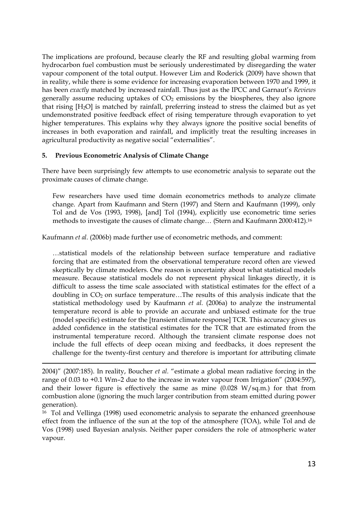The implications are profound, because clearly the RF and resulting global warming from hydrocarbon fuel combustion must be seriously underestimated by disregarding the water vapour component of the total output. However Lim and Roderick (2009) have shown that in reality, while there is some evidence for increasing evaporation between 1970 and 1999, it has been *exactly* matched by increased rainfall. Thus just as the IPCC and Garnaut"s *Reviews* generally assume reducing uptakes of  $CO<sub>2</sub>$  emissions by the biospheres, they also ignore that rising [H2O] is matched by rainfall, preferring instead to stress the claimed but as yet undemonstrated positive feedback effect of rising temperature through evaporation to yet higher temperatures. This explains why they always ignore the positive social benefits of increases in both evaporation and rainfall, and implicitly treat the resulting increases in agricultural productivity as negative social "externalities".

#### **5. Previous Econometric Analysis of Climate Change**

 $\overline{a}$ 

There have been surprisingly few attempts to use econometric analysis to separate out the proximate causes of climate change.

Few researchers have used time domain econometrics methods to analyze climate change. Apart from Kaufmann and Stern (1997) and Stern and Kaufmann (1999), only Tol and de Vos (1993, 1998), [and] Tol (1994), explicitly use econometric time series methods to investigate the causes of climate change… (Stern and Kaufmann 2000:412).<sup>16</sup>

Kaufmann *et al.* (2006b) made further use of econometric methods, and comment:

…statistical models of the relationship between surface temperature and radiative forcing that are estimated from the observational temperature record often are viewed skeptically by climate modelers. One reason is uncertainty about what statistical models measure. Because statistical models do not represent physical linkages directly, it is difficult to assess the time scale associated with statistical estimates for the effect of a doubling in CO<sub>2</sub> on surface temperature...The results of this analysis indicate that the statistical methodology used by Kaufmann *et al.* (2006a) to analyze the instrumental temperature record is able to provide an accurate and unbiased estimate for the true (model specific) estimate for the [transient climate response] TCR. This accuracy gives us added confidence in the statistical estimates for the TCR that are estimated from the instrumental temperature record. Although the transient climate response does not include the full effects of deep ocean mixing and feedbacks, it does represent the challenge for the twenty-first century and therefore is important for attributing climate

<sup>2004)&</sup>quot; (2007:185). In reality, Boucher *et al.* "estimate a global mean radiative forcing in the range of 0.03 to +0.1 Wm–2 due to the increase in water vapour from Irrigation" (2004:597), and their lower figure is effectively the same as mine  $(0.028 \text{ W/sq.m.})$  for that from combustion alone (ignoring the much larger contribution from steam emitted during power generation).

<sup>16</sup> Tol and Vellinga (1998) used econometric analysis to separate the enhanced greenhouse effect from the influence of the sun at the top of the atmosphere (TOA), while Tol and de Vos (1998) used Bayesian analysis. Neither paper considers the role of atmospheric water vapour.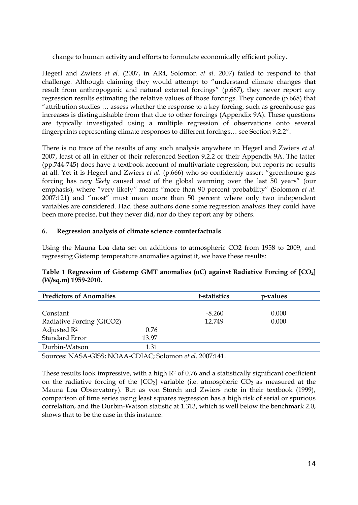change to human activity and efforts to formulate economically efficient policy.

Hegerl and Zwiers *et al.* (2007, in AR4, Solomon *et al.* 2007) failed to respond to that challenge. Although claiming they would attempt to "understand climate changes that result from anthropogenic and natural external forcings" (p.667), they never report any regression results estimating the relative values of those forcings. They concede (p.668) that "attribution studies … assess whether the response to a key forcing, such as greenhouse gas increases is distinguishable from that due to other forcings (Appendix 9A). These questions are typically investigated using a multiple regression of observations onto several fingerprints representing climate responses to different forcings… see Section 9.2.2".

There is no trace of the results of any such analysis anywhere in Hegerl and Zwiers *et al.* 2007, least of all in either of their referenced Section 9.2.2 or their Appendix 9A. The latter (pp.744-745) does have a textbook account of multivariate regression, but reports no results at all. Yet it is Hegerl and Zwiers *et al.* (p.666) who so confidently assert "greenhouse gas forcing has *very likely* caused *most* of the global warming over the last 50 years" (our emphasis), where "very likely*"* means "more than 90 percent probability" (Solomon *et al.* 2007:121) and "most" must mean more than 50 percent where only two independent variables are considered. Had these authors done some regression analysis they could have been more precise, but they never did, nor do they report any by others.

#### **6. Regression analysis of climate science counterfactuals**

Using the Mauna Loa data set on additions to atmospheric CO2 from 1958 to 2009, and regressing Gistemp temperature anomalies against it, we have these results:

| Table 1 Regression of Gistemp GMT anomalies (oC) against Radiative Forcing of $[CO_2]$ |  |  |  |  |
|----------------------------------------------------------------------------------------|--|--|--|--|
| (W/sq.m) 1959-2010.                                                                    |  |  |  |  |

| <b>Predictors of Anomalies</b> |       | t-statistics | p-values |  |
|--------------------------------|-------|--------------|----------|--|
|                                |       |              |          |  |
| Constant                       |       | $-8.260$     | 0.000    |  |
| Radiative Forcing (GtCO2)      |       | 12.749       | 0.000    |  |
| Adjusted R <sup>2</sup>        | 0.76  |              |          |  |
| Standard Error                 | 13.97 |              |          |  |
| Durbin-Watson                  | 1.31  |              |          |  |

Sources: NASA-GISS; NOAA-CDIAC; Solomon *et al.* 2007:141.

These results look impressive, with a high  $R<sup>2</sup>$  of 0.76 and a statistically significant coefficient on the radiative forcing of the  $[CO<sub>2</sub>]$  variable (i.e. atmospheric  $CO<sub>2</sub>$  as measured at the Mauna Loa Observatory). But as von Storch and Zwiers note in their textbook (1999), comparison of time series using least squares regression has a high risk of serial or spurious correlation, and the Durbin-Watson statistic at 1.313, which is well below the benchmark 2.0, shows that to be the case in this instance.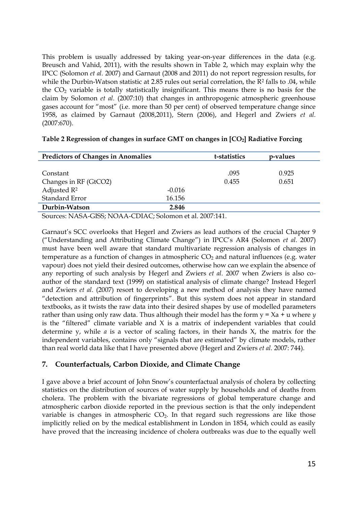This problem is usually addressed by taking year-on-year differences in the data (e.g. Breusch and Vahid, 2011), with the results shown in Table 2, which may explain why the IPCC (Solomon *et al.* 2007) and Garnaut (2008 and 2011) do not report regression results, for while the Durbin-Watson statistic at 2.85 rules out serial correlation, the  $R^2$  falls to .04, while the  $CO<sub>2</sub>$  variable is totally statistically insignificant. This means there is no basis for the claim by Solomon *et al.* (2007:10) that changes in anthropogenic atmospheric greenhouse gases account for "most" (i.e. more than 50 per cent) of observed temperature change since 1958, as claimed by Garnaut (2008,2011), Stern (2006), and Hegerl and Zwiers *et al.* (2007:670).

| <b>Predictors of Changes in Anomalies</b> |          | t-statistics | p-values |  |
|-------------------------------------------|----------|--------------|----------|--|
|                                           |          |              |          |  |
| Constant                                  |          | .095         | 0.925    |  |
| Changes in RF (GtCO2)                     |          | 0.455        | 0.651    |  |
| Adjusted $\mathbb{R}^2$                   | $-0.016$ |              |          |  |
| Standard Error                            | 16.156   |              |          |  |
| Durbin-Watson                             | 2.846    |              |          |  |

#### **Table 2 Regression of changes in surface GMT on changes in [CO2] Radiative Forcing**

Sources: NASA-GISS; NOAA-CDIAC; Solomon et al. 2007:141.

Garnaut"s SCC overlooks that Hegerl and Zwiers as lead authors of the crucial Chapter 9 ("Understanding and Attributing Climate Change") in IPCC"s AR4 (Solomon *et al.* 2007) must have been well aware that standard multivariate regression analysis of changes in temperature as a function of changes in atmospheric  $CO<sub>2</sub>$  and natural influences (e.g. water vapour) does not yield their desired outcomes, otherwise how can we explain the absence of any reporting of such analysis by Hegerl and Zwiers *et al.* 2007 when Zwiers is also coauthor of the standard text (1999) on statistical analysis of climate change? Instead Hegerl and Zwiers *et al.* (2007) resort to developing a new method of analysis they have named "detection and attribution of fingerprints". But this system does not appear in standard textbooks, as it twists the raw data into their desired shapes by use of modelled parameters rather than using only raw data. Thus although their model has the form y = Xa + u where *y* is the "filtered" climate variable and  $X$  is a matrix of independent variables that could determine y, while *a* is a vector of scaling factors, in their hands X, the matrix for the independent variables, contains only "signals that are estimated" by climate models, rather than real world data like that I have presented above (Hegerl and Zwiers *et al.* 2007: 744).

## **7. Counterfactuals, Carbon Dioxide, and Climate Change**

I gave above a brief account of John Snow"s counterfactual analysis of cholera by collecting statistics on the distribution of sources of water supply by households and of deaths from cholera. The problem with the bivariate regressions of global temperature change and atmospheric carbon dioxide reported in the previous section is that the only independent variable is changes in atmospheric  $CO<sub>2</sub>$ . In that regard such regressions are like those implicitly relied on by the medical establishment in London in 1854, which could as easily have proved that the increasing incidence of cholera outbreaks was due to the equally well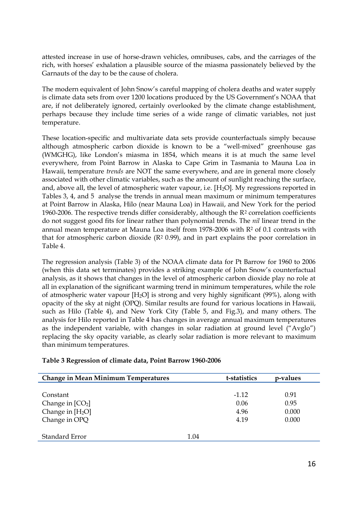attested increase in use of horse-drawn vehicles, omnibuses, cabs, and the carriages of the rich, with horses" exhalation a plausible source of the miasma passionately believed by the Garnauts of the day to be the cause of cholera.

The modern equivalent of John Snow"s careful mapping of cholera deaths and water supply is climate data sets from over 1200 locations produced by the US Government"s NOAA that are, if not deliberately ignored, certainly overlooked by the climate change establishment, perhaps because they include time series of a wide range of climatic variables, not just temperature.

These location-specific and multivariate data sets provide counterfactuals simply because although atmospheric carbon dioxide is known to be a "well-mixed" greenhouse gas (WMGHG), like London"s miasma in 1854, which means it is at much the same level everywhere, from Point Barrow in Alaska to Cape Grim in Tasmania to Mauna Loa in Hawaii, temperature *trends* are NOT the same everywhere, and are in general more closely associated with other climatic variables, such as the amount of sunlight reaching the surface, and, above all, the level of atmospheric water vapour, i.e.  $[H_2O]$ . My regressions reported in Tables 3, 4, and 5 analyse the trends in annual mean maximum or minimum temperatures at Point Barrow in Alaska, Hilo (near Mauna Loa) in Hawaii, and New York for the period 1960-2006. The respective trends differ considerably, although the R<sup>2</sup> correlation coefficients do not suggest good fits for linear rather than polynomial trends. The *nil* linear trend in the annual mean temperature at Mauna Loa itself from 1978-2006 with  $R<sup>2</sup>$  of 0.1 contrasts with that for atmospheric carbon dioxide  $(R<sup>2</sup> 0.99)$ , and in part explains the poor correlation in Table 4.

The regression analysis (Table 3) of the NOAA climate data for Pt Barrow for 1960 to 2006 (when this data set terminates) provides a striking example of John Snow"s counterfactual analysis, as it shows that changes in the level of atmospheric carbon dioxide play no role at all in explanation of the significant warming trend in minimum temperatures, while the role of atmospheric water vapour [H2O] is strong and very highly significant (99%), along with opacity of the sky at night (OPQ). Similar results are found for various locations in Hawaii, such as Hilo (Table 4), and New York City (Table 5, and Fig.3), and many others. The analysis for Hilo reported in Table 4 has changes in average annual maximum temperatures as the independent variable, with changes in solar radiation at ground level ("Avglo") replacing the sky opacity variable, as clearly solar radiation is more relevant to maximum than minimum temperatures.

| <b>Change in Mean Minimum Temperatures</b> | t-statistics | p-values |
|--------------------------------------------|--------------|----------|
|                                            |              |          |
| Constant                                   | $-1.12$      | 0.91     |
| Change in $[CO2]$                          | 0.06         | 0.95     |
| Change in $[H_2O]$                         | 4.96         | 0.000    |
| Change in OPQ                              | 4.19         | 0.000    |
|                                            |              |          |
| Standard Error                             | 1.04         |          |

#### **Table 3 Regression of climate data, Point Barrow 1960-2006**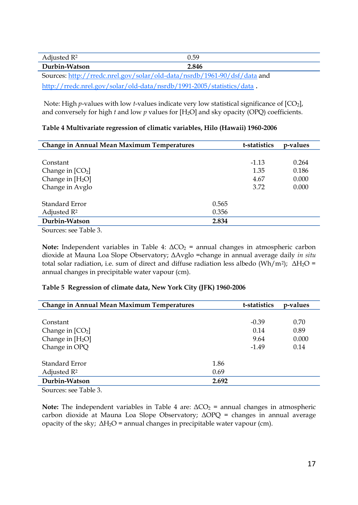| Adjusted $\mathbb{R}^2$                                                  | 0.59  |  |  |
|--------------------------------------------------------------------------|-------|--|--|
| Durbin-Watson                                                            | 2.846 |  |  |
| Sources: http://rredc.nrel.gov/solar/old-data/nsrdb/1961-90/dsf/data and |       |  |  |
| http://rredc.nrel.gov/solar/old-data/nsrdb/1991-2005/statistics/data.    |       |  |  |

Note: High *p*-values with low *t*-values indicate very low statistical significance of [CO2], and conversely for high  $t$  and low  $p$  values for  $[H_2O]$  and sky opacity (OPQ) coefficients.

| <b>Change in Annual Mean Maximum Temperatures</b> |       | t-statistics | p-values |
|---------------------------------------------------|-------|--------------|----------|
|                                                   |       |              |          |
| Constant                                          |       | $-1.13$      | 0.264    |
| Change in $[CO2]$                                 |       | 1.35         | 0.186    |
| Change in $[H_2O]$                                |       | 4.67         | 0.000    |
| Change in Avglo                                   |       | 3.72         | 0.000    |
|                                                   |       |              |          |
| Standard Error                                    | 0.565 |              |          |
| Adjusted $\mathbb{R}^2$                           | 0.356 |              |          |
| Durbin-Watson                                     | 2.834 |              |          |
|                                                   |       |              |          |

Sources: see Table 3.

**Note:** Independent variables in Table 4:  $ΔCO<sub>2</sub> =$  annual changes in atmospheric carbon dioxide at Mauna Loa Slope Observatory; ΔAvglo =change in annual average daily *in situ* total solar radiation, i.e. sum of direct and diffuse radiation less albedo (Wh/m<sup>2</sup>);  $\Delta H_2O =$ annual changes in precipitable water vapour (cm).

## **Table 5 Regression of climate data, New York City (JFK) 1960-2006**

| <b>Change in Annual Mean Maximum Temperatures</b> |       | t-statistics | p-values |
|---------------------------------------------------|-------|--------------|----------|
|                                                   |       |              |          |
| Constant                                          |       | $-0.39$      | 0.70     |
| Change in $[CO2]$                                 |       | 0.14         | 0.89     |
| Change in $[H_2O]$                                |       | 9.64         | 0.000    |
| Change in OPQ                                     |       | $-1.49$      | 0.14     |
|                                                   |       |              |          |
| Standard Error                                    | 1.86  |              |          |
| Adjusted R <sup>2</sup>                           | 0.69  |              |          |
| Durbin-Watson                                     | 2.692 |              |          |

Sources: see Table 3.

**Note:** The **i**ndependent variables in Table 4 are:  $\Delta CO_2$  = annual changes in atmospheric carbon dioxide at Mauna Loa Slope Observatory; ΔOPQ = changes in annual average opacity of the sky;  $\Delta H_2O$  = annual changes in precipitable water vapour (cm).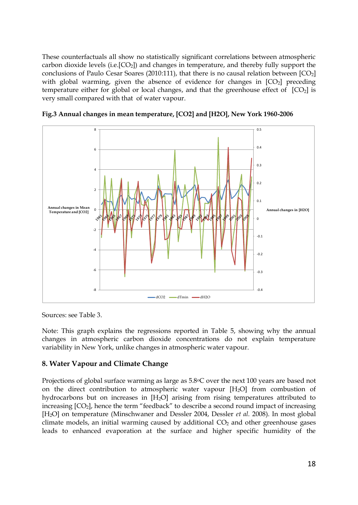These counterfactuals all show no statistically significant correlations between atmospheric carbon dioxide levels (i.e. $[CO_2]$ ) and changes in temperature, and thereby fully support the conclusions of Paulo Cesar Soares (2010:111), that there is no causal relation between  $[CO<sub>2</sub>]$ with global warming, given the absence of evidence for changes in  $[CO<sub>2</sub>]$  preceding temperature either for global or local changes, and that the greenhouse effect of  $[CO<sub>2</sub>]$  is very small compared with that of water vapour.



**Fig.3 Annual changes in mean temperature, [CO2] and [H2O], New York 1960-2006**

Sources: see Table 3.

Note: This graph explains the regressions reported in Table 5, showing why the annual changes in atmospheric carbon dioxide concentrations do not explain temperature variability in New York, unlike changes in atmospheric water vapour.

## **8. Water Vapour and Climate Change**

Projections of global surface warming as large as 5.8°C over the next 100 years are based not on the direct contribution to atmospheric water vapour  $[H<sub>2</sub>O]$  from combustion of hydrocarbons but on increases in [H2O] arising from rising temperatures attributed to increasing [CO<sub>2</sub>], hence the term "feedback" to describe a second round impact of increasing [H2O] on temperature (Minschwaner and Dessler 2004, Dessler *et al.* 2008). In most global climate models, an initial warming caused by additional  $CO<sub>2</sub>$  and other greenhouse gases leads to enhanced evaporation at the surface and higher specific humidity of the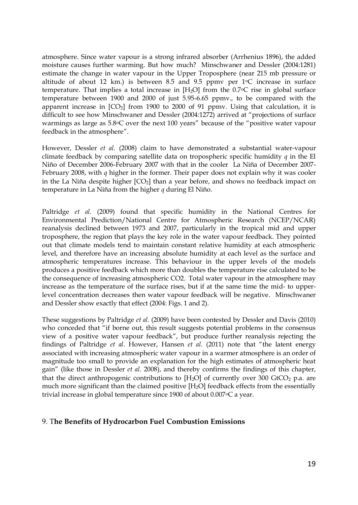atmosphere. Since water vapour is a strong infrared absorber (Arrhenius 1896), the added moisture causes further warming. But how much? Minschwaner and Dessler (2004:1281) estimate the change in water vapour in the Upper Troposphere (near 215 mb pressure or altitude of about 12 km.) is between 8.5 and 9.5 ppmv per  $1^{\circ}$ C increase in surface temperature. That implies a total increase in  $[H<sub>2</sub>O]$  from the 0.7 $\degree$ C rise in global surface temperature between 1900 and 2000 of just 5.95-6.65 ppmv., to be compared with the apparent increase in  $[CO_2]$  from 1900 to 2000 of 91 ppmv. Using that calculation, it is difficult to see how Minschwaner and Dessler (2004:1272) arrived at "projections of surface warmings as large as 5.8oC over the next 100 years" because of the "positive water vapour feedback in the atmosphere".

However, Dessler *et al.* (2008) claim to have demonstrated a substantial water-vapour climate feedback by comparing satellite data on tropospheric specific humidity *q* in the El Niño of December 2006-February 2007 with that in the cooler La Niña of December 2007- February 2008, with *q* higher in the former. Their paper does not explain why it was cooler in the La Niña despite higher  $[CO_2]$  than a year before, and shows no feedback impact on temperature in La Niña from the higher *q* during El Niño.

Paltridge *et al.* (2009) found that specific humidity in the National Centres for Environmental Prediction/National Centre for Atmospheric Research (NCEP/NCAR) reanalysis declined between 1973 and 2007, particularly in the tropical mid and upper troposphere, the region that plays the key role in the water vapour feedback. They pointed out that climate models tend to maintain constant relative humidity at each atmospheric level, and therefore have an increasing absolute humidity at each level as the surface and atmospheric temperatures increase. This behaviour in the upper levels of the models produces a positive feedback which more than doubles the temperature rise calculated to be the consequence of increasing atmospheric CO2. Total water vapour in the atmosphere may increase as the temperature of the surface rises, but if at the same time the mid- to upperlevel concentration decreases then water vapour feedback will be negative. Minschwaner and Dessler show exactly that effect (2004: Figs. 1 and 2).

These suggestions by Paltridge *et al.* (2009) have been contested by Dessler and Davis (2010) who conceded that "if borne out, this result suggests potential problems in the consensus view of a positive water vapour feedback", but produce further reanalysis rejecting the findings of Paltridge *et al*. However, Hansen *et al.* (2011) note that "the latent energy associated with increasing atmospheric water vapour in a warmer atmosphere is an order of magnitude too small to provide an explanation for the high estimates of atmospheric heat gain" (like those in Dessler *et al.* 2008), and thereby confirms the findings of this chapter, that the direct anthropogenic contributions to  $[H_2O]$  of currently over 300 GtCO<sub>2</sub> p.a. are much more significant than the claimed positive [H<sub>2</sub>O] feedback effects from the essentially trivial increase in global temperature since 1900 of about 0.007°C a year.

## 9. T**he Benefits of Hydrocarbon Fuel Combustion Emissions**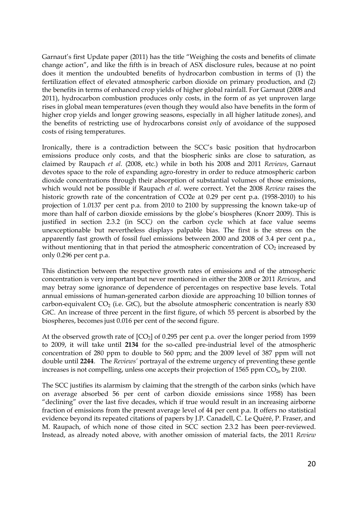Garnaut's first Update paper (2011) has the title "Weighing the costs and benefits of climate change action", and like the fifth is in breach of ASX disclosure rules, because at no point does it mention the undoubted benefits of hydrocarbon combustion in terms of (1) the fertilization effect of elevated atmospheric carbon dioxide on primary production, and (2) the benefits in terms of enhanced crop yields of higher global rainfall. For Garnaut (2008 and 2011), hydrocarbon combustion produces only costs, in the form of as yet unproven large rises in global mean temperatures (even though they would also have benefits in the form of higher crop yields and longer growing seasons, especially in all higher latitude zones), and the benefits of restricting use of hydrocarbons consist *only* of avoidance of the supposed costs of rising temperatures.

Ironically, there is a contradiction between the SCC"s basic position that hydrocarbon emissions produce only costs, and that the biospheric sinks are close to saturation, as claimed by Raupach *et al.* (2008, etc.) while in both his 2008 and 2011 *Reviews*, Garnaut devotes space to the role of expanding agro-forestry in order to reduce atmospheric carbon dioxide concentrations through their absorption of substantial volumes of those emissions, which would not be possible if Raupach *et al.* were correct. Yet the 2008 *Review* raises the historic growth rate of the concentration of CO2e at 0.29 per cent p.a. (1958-2010) to his projection of 1.0137 per cent p.a. from 2010 to 2100 by suppressing the known take-up of more than half of carbon dioxide emissions by the globe"s biospheres (Knorr 2009). This is justified in section 2.3.2 (in SCC*)* on the carbon cycle which at face value seems unexceptionable but nevertheless displays palpable bias. The first is the stress on the apparently fast growth of fossil fuel emissions between 2000 and 2008 of 3.4 per cent p.a., without mentioning that in that period the atmospheric concentration of  $CO<sub>2</sub>$  increased by only 0.296 per cent p.a.

This distinction between the respective growth rates of emissions and of the atmospheric concentration is very important but never mentioned in either the 2008 or 2011 *Reviews*, and may betray some ignorance of dependence of percentages on respective base levels. Total annual emissions of human-generated carbon dioxide are approaching 10 billion tonnes of carbon-equivalent  $CO<sub>2</sub>$  (i.e. GtC), but the absolute atmospheric concentration is nearly 830 GtC. An increase of three percent in the first figure, of which 55 percent is absorbed by the biospheres, becomes just 0.016 per cent of the second figure.

At the observed growth rate of  $[CO<sub>2</sub>]$  of 0.295 per cent p.a. over the longer period from 1959 to 2009, it will take until **2134** for the so-called pre-industrial level of the atmospheric concentration of 280 ppm to double to 560 ppm; and the 2009 level of 387 ppm will not double until **2244**. The *Reviews'* portrayal of the extreme urgency of preventing these gentle increases is not compelling, unless one accepts their projection of 1565 ppm  $CO<sub>2e</sub>$  by 2100.

The SCC justifies its alarmism by claiming that the strength of the carbon sinks (which have on average absorbed 56 per cent of carbon dioxide emissions since 1958) has been "declining" over the last five decades, which if true would result in an increasing airborne fraction of emissions from the present average level of 44 per cent p.a. It offers no statistical evidence beyond its repeated citations of papers by J.P. Canadell, C. Le Quéré, P. Fraser, and M. Raupach, of which none of those cited in SCC section 2.3.2 has been peer-reviewed. Instead, as already noted above, with another omission of material facts, the 2011 *Review*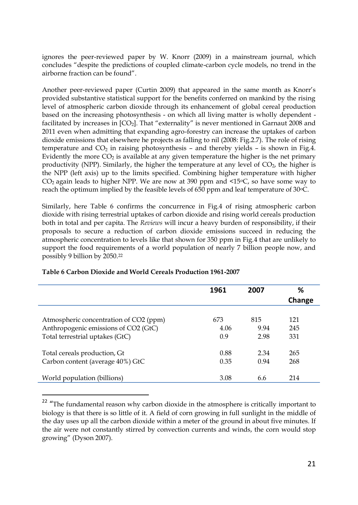ignores the peer-reviewed paper by W. Knorr (2009) in a mainstream journal, which concludes "despite the predictions of coupled climate-carbon cycle models, no trend in the airborne fraction can be found".

Another peer-reviewed paper (Curtin 2009) that appeared in the same month as Knorr"s provided substantive statistical support for the benefits conferred on mankind by the rising level of atmospheric carbon dioxide through its enhancement of global cereal production based on the increasing photosynthesis - on which all living matter is wholly dependent facilitated by increases in  $[CO<sub>2</sub>]$ . That "externality" is never mentioned in Garnaut 2008 and 2011 even when admitting that expanding agro-forestry can increase the uptakes of carbon dioxide emissions that elsewhere he projects as falling to nil (2008: Fig.2.7). The role of rising temperature and  $CO<sub>2</sub>$  in raising photosynthesis – and thereby yields – is shown in Fig.4. Evidently the more  $CO<sub>2</sub>$  is available at any given temperature the higher is the net primary productivity (NPP). Similarly, the higher the temperature at any level of  $CO<sub>2</sub>$ , the higher is the NPP (left axis) up to the limits specified. Combining higher temperature with higher  $CO<sub>2</sub>$  again leads to higher NPP. We are now at 390 ppm and <15 $\degree$ C, so have some way to reach the optimum implied by the feasible levels of 650 ppm and leaf temperature of 30 °C.

Similarly, here Table 6 confirms the concurrence in Fig.4 of rising atmospheric carbon dioxide with rising terrestrial uptakes of carbon dioxide and rising world cereals production both in total and per capita. The *Reviews* will incur a heavy burden of responsibility, if their proposals to secure a reduction of carbon dioxide emissions succeed in reducing the atmospheric concentration to levels like that shown for 350 ppm in Fig.4 that are unlikely to support the food requirements of a world population of nearly 7 billion people now, and possibly 9 billion by 2050.<sup>22</sup>

|                                        | 1961 | 2007 | ℅      |
|----------------------------------------|------|------|--------|
|                                        |      |      | Change |
|                                        |      |      |        |
| Atmospheric concentration of CO2 (ppm) | 673  | 815  | 121    |
| Anthropogenic emissions of CO2 (GtC)   | 4.06 | 9.94 | 245    |
| Total terrestrial uptakes (GtC)        | 0.9  | 2.98 | 331    |
| Total cereals production, Gt           | 0.88 | 2.34 | 265    |
| Carbon content (average 40%) GtC       | 0.35 | 0.94 | 268    |
| World population (billions)            | 3.08 | 6.6  | 214    |

#### **Table 6 Carbon Dioxide and World Cereals Production 1961-2007**

l

 $22$  "The fundamental reason why carbon dioxide in the atmosphere is critically important to biology is that there is so little of it. A field of corn growing in full sunlight in the middle of the day uses up all the carbon dioxide within a meter of the ground in about five minutes. If the air were not constantly stirred by convection currents and winds, the corn would stop growing" (Dyson 2007).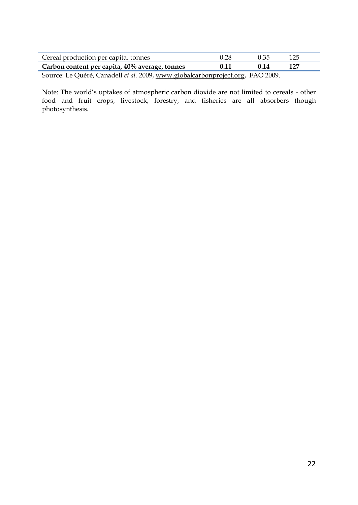| Cereal production per capita, tonnes                                           | 0.28 | 0.35 | 125 |
|--------------------------------------------------------------------------------|------|------|-----|
| Carbon content per capita, $40\%$ average, tonnes                              | 0.11 | 0.14 | 127 |
| Source: Le Quéré, Canadell et al. 2009, www.globalcarbonproject.org, FAO 2009. |      |      |     |

Note: The world"s uptakes of atmospheric carbon dioxide are not limited to cereals - other food and fruit crops, livestock, forestry, and fisheries are all absorbers though photosynthesis.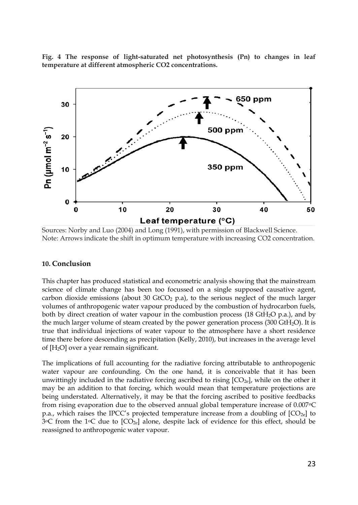**Fig. 4 The response of light-saturated net photosynthesis (Pn) to changes in leaf temperature at different atmospheric CO2 concentrations.**



Sources: Norby and Luo (2004) and Long (1991), with permission of Blackwell Science. Note: Arrows indicate the shift in optimum temperature with increasing CO2 concentration.

#### **10. Conclusion**

This chapter has produced statistical and econometric analysis showing that the mainstream science of climate change has been too focussed on a single supposed causative agent, carbon dioxide emissions (about 30 GtCO<sub>2</sub> p.a), to the serious neglect of the much larger volumes of anthropogenic water vapour produced by the combustion of hydrocarbon fuels, both by direct creation of water vapour in the combustion process (18 GtH<sub>2</sub>O p.a.), and by the much larger volume of steam created by the power generation process (300 GtH2O). It is true that individual injections of water vapour to the atmosphere have a short residence time there before descending as precipitation (Kelly, 2010), but increases in the average level of [H2O] over a year remain significant.

The implications of full accounting for the radiative forcing attributable to anthropogenic water vapour are confounding. On the one hand, it is conceivable that it has been unwittingly included in the radiative forcing ascribed to rising  $[CO_{2e}]$ , while on the other it may be an addition to that forcing, which would mean that temperature projections are being understated. Alternatively, it may be that the forcing ascribed to positive feedbacks from rising evaporation due to the observed annual global temperature increase of 0.007 $\degree$ C p.a., which raises the IPCC's projected temperature increase from a doubling of  $[CO_{2e}]$  to 3 $\degree$ C from the 1 $\degree$ C due to  $[CO_{2e}]$  alone, despite lack of evidence for this effect, should be reassigned to anthropogenic water vapour.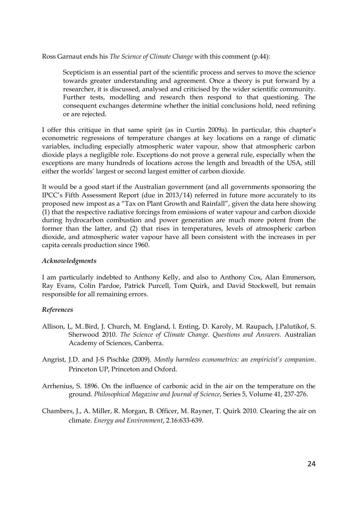Ross Garnaut ends his *The Science of Climate Change* with this comment (p.44):

Scepticism is an essential part of the scientific process and serves to move the science towards greater understanding and agreement. Once a theory is put forward by a researcher, it is discussed, analysed and criticised by the wider scientific community. Further tests, modelling and research then respond to that questioning. The consequent exchanges determine whether the initial conclusions hold, need refining or are rejected.

I offer this critique in that same spirit (as in Curtin 2009a). In particular, this chapter"s econometric regressions of temperature changes at key locations on a range of climatic variables, including especially atmospheric water vapour, show that atmospheric carbon dioxide plays a negligible role. Exceptions do not prove a general rule, especially when the exceptions are many hundreds of locations across the length and breadth of the USA, still either the worlds" largest or second largest emitter of carbon dioxide.

It would be a good start if the Australian government (and all governments sponsoring the IPCC"s Fifth Assessment Report (due in 2013/14) referred in future more accurately to its proposed new impost as a "Tax on Plant Growth and Rainfall", given the data here showing (1) that the respective radiative forcings from emissions of water vapour and carbon dioxide during hydrocarbon combustion and power generation are much more potent from the former than the latter, and (2) that rises in temperatures, levels of atmospheric carbon dioxide, and atmospheric water vapour have all been consistent with the increases in per capita cereals production since 1960.

## *Acknowledgments*

I am particularly indebted to Anthony Kelly, and also to Anthony Cox, Alan Emmerson, Ray Evans, Colin Pardoe, Patrick Purcell, Tom Quirk, and David Stockwell, but remain responsible for all remaining errors.

## *References*

- Allison, I,, M..Bird, J. Church, M. England, l. Enting, D. Karoly, M. Raupach, J.Palutikof, S. Sherwood 2010. *The Science of Climate Change. Questions and Answers.* Australian Academy of Sciences, Canberra.
- Angrist, J.D. and J-S Pischke (2009). *Mostly harmless econometrics: an empiricist's companion*. Princeton UP, Princeton and Oxford.
- Arrhenius, S. 1896. On the influence of carbonic acid in the air on the temperature on the ground. *Philosophical Magazine and Journal of Science*, Series 5, Volume 41, 237-276.
- Chambers, J., A. Miller, R. Morgan, B. Officer, M. Rayner, T. Quirk 2010. Clearing the air on climate. *Energy and Environment*, 2.16:633-639.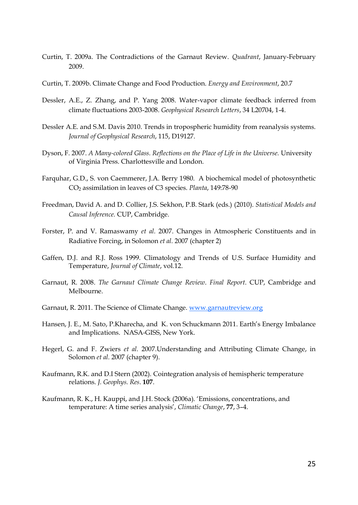- Curtin, T. 2009a. The Contradictions of the Garnaut Review. *Quadrant*, January-February 2009.
- Curtin, T. 2009b. Climate Change and Food Production. *Energy and Environment*, 20.7
- Dessler, A.E., Z. Zhang, and P. Yang 2008. Water-vapor climate feedback inferred from climate fluctuations 2003-2008. *Geophysical Research Letters*, 34 L20704, 1-4.
- Dessler A.E. and S.M. Davis 2010. Trends in tropospheric humidity from reanalysis systems. *Journal of Geophysical Research*, 115, D19127.
- Dyson, F. 2007. *A Many-colored Glass. Reflections on the Place of Life in the Universe.* University of Virginia Press. Charlottesville and London.
- Farquhar, G.D., S. von Caemmerer, J.A. Berry 1980. A biochemical model of photosynthetic CO<sup>2</sup> assimilation in leaves of C3 species. *Planta*, 149:78-90
- Freedman, David A. and D. Collier, J.S. Sekhon, P.B. Stark (eds.) (2010). *Statistical Models and Causal Inference.* CUP, Cambridge.
- Forster, P. and V. Ramaswamy *et al.* 2007. Changes in Atmospheric Constituents and in Radiative Forcing, in Solomon *et al.* 2007 (chapter 2)
- Gaffen, D.J. and R.J. Ross 1999. Climatology and Trends of U.S. Surface Humidity and Temperature, *Journal of Climate*, vol.12.
- Garnaut, R. 2008. *The Garnaut Climate Change Review*. *Final Report*. CUP, Cambridge and Melbourne.
- Garnaut, R. 2011. The Science of Climate Change. [www.garnautreview.org](http://www.garnautreview.org/)
- Hansen, J. E., M. Sato, P.Kharecha, and K. von Schuckmann 2011. Earth"s Energy Imbalance and Implications. NASA-GISS, New York.
- Hegerl, G. and F. Zwiers *et al.* 2007.Understanding and Attributing Climate Change, in Solomon *et al.* 2007 (chapter 9).
- Kaufmann, R.K. and D.I Stern (2002). Cointegration analysis of hemispheric temperature relations. *J. Geophys. Res*. **107**.
- Kaufmann, R. K., H. Kauppi, and J.H. Stock (2006a). "Emissions, concentrations, and temperature: A time series analysis", *Climatic Change*, **77**, 3–4.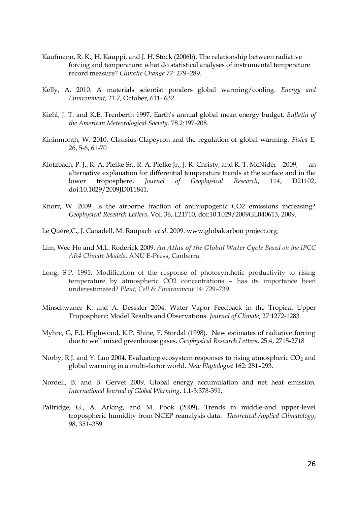- Kaufmann, R. K., H. Kauppi, and J. H. Stock (2006b). The relationship between radiative forcing and temperature: what do statistical analyses of instrumental temperature record measure? *Climatic Change* 77: 279–289.
- Kelly, A. 2010. A materials scientist ponders global warming/cooling*. Energy and Environment*, 21.7, October, 611- 632.
- Kiehl, J. T. and K.E. Trenberth 1997. Earth"s annual global mean energy budget. *Bulletin of the American Meteorological Society,* 78.2:197-208.
- Kininmonth, W. 2010. Clausius-Clapeyron and the regulation of global warming. *Fisica E,* 26, 5-6, 61-70
- Klotzbach, P. J., R. A. Pielke Sr., R. A. Pielke Jr., J. R. Christy, and R. T. McNider 2009, an alternative explanation for differential temperature trends at the surface and in the lower troposphere, *Journal of Geophysical Research*, 114, D21102, doi:10.1029/2009JD011841.
- Knorr, W. 2009. Is the airborne fraction of anthropogenic CO2 emissions increasing? *Geophysical Research Letters*, Vol. 36, L21710, doi:10.1029/2009GL040613, 2009.
- Le Quéré,C., J. Canadell, M. Raupach *et al.* 2009. www.globalcarbon project.org.
- Lim, Wee Ho and M.L. Roderick 2009. *An Atlas of the Global Water Cycle Based on the IPCC AR4 Climate Models*. ANU E-Press, Canberra.
- Long, S.P. 1991**.** Modification of the response of photosynthetic productivity to rising temperature by atmospheric CO2 concentrations – has its importance been underestimated? *Plant, Cell & Environment* 14: 729–739.
- Minschwaner K. and A. Desssler 2004. Water Vapor Feedback in the Tropical Upper Troposphere: Model Results and Observations. *Journal of Climate*, 27:1272-1283
- Myhre, G, E.J. Highwood, K.P. Shine, F. Stordal (1998). New estimates of radiative forcing due to well mixed greenhouse gases. *Geophysical Research Letters*, 25.4, 2715-2718
- Norby, R.J. and Y. Luo 2004. Evaluating ecosystem responses to rising atmospheric CO<sub>2</sub> and global warming in a multi-factor world. *New Phytologist* 162: 281–293.
- Nordell, B. and B. Gervet 2009. Global energy accumulation and net heat emission. *International Journal of Global Warming*. 1.1-3:378-391.
- Paltridge, G., A. Arking, and M. Pook (2009), Trends in middle-and upper-level tropospheric humidity from NCEP reanalysis data. *Theoretical.Applied Climatology*, 98, 351–359.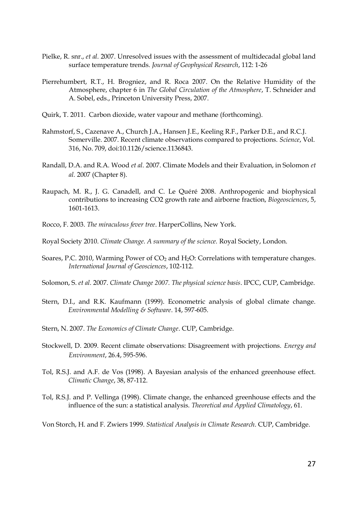- Pielke, R. snr., *et al.* 2007. Unresolved issues with the assessment of multidecadal global land surface temperature trends. *Journal of Geophysical Research*, 112: 1-26
- Pierrehumbert, R.T., H. Brogniez, and R. Roca 2007. On the Relative Humidity of the Atmosphere, chapter 6 in *The Global Circulation of the Atmosphere*, T. Schneider and A. Sobel, eds., Princeton University Press, 2007.
- Quirk, T. 2011. Carbon dioxide, water vapour and methane (forthcoming).
- Rahmstorf, S., Cazenave A., Church J.A., Hansen J.E., Keeling R.F., Parker D.E., and R.C.J. Somerville. 2007. Recent climate observations compared to projections. *Science*, Vol. 316, No. 709, doi:10.1126/science.1136843.
- Randall, D.A. and R.A. Wood *et al.* 2007. Climate Models and their Evaluation, in Solomon *et al.* 2007 (Chapter 8).
- Raupach, M. R., J. G. Canadell, and C. Le Quéré 2008. Anthropogenic and biophysical contributions to increasing CO2 growth rate and airborne fraction, *Biogeosciences*, 5, 1601-1613.
- Rocco, F. 2003. *The miraculous fever tree*. HarperCollins, New York.
- Royal Society 2010. *Climate Change. A summary of the science.* Royal Society, London.
- Soares, P.C. 2010, Warming Power of  $CO<sub>2</sub>$  and  $H<sub>2</sub>O$ : Correlations with temperature changes. *International Journal of Geosciences*, 102-112.
- Solomon, S. *et al.* 2007. *Climate Change 2007. The physical science basis*. IPCC, CUP, Cambridge.
- Stern, D.I., and R.K. Kaufmann (1999). Econometric analysis of global climate change. *Environmental Modelling & Software*. 14, 597-605.
- Stern, N. 2007. *The Economics of Climate Change*. CUP, Cambridge.
- Stockwell, D. 2009. Recent climate observations: Disagreement with projections. *Energy and Environment*, 26.4, 595-596.
- Tol, R.S.J. and A.F. de Vos (1998). A Bayesian analysis of the enhanced greenhouse effect. *Climatic Change*, 38, 87-112.
- Tol, R.S.J. and P. Vellinga (1998). Climate change, the enhanced greenhouse effects and the influence of the sun: a statistical analysis. *Theoretical and Applied Climatology*, 61.
- Von Storch, H. and F. Zwiers 1999. *Statistical Analysis in Climate Research*. CUP, Cambridge.